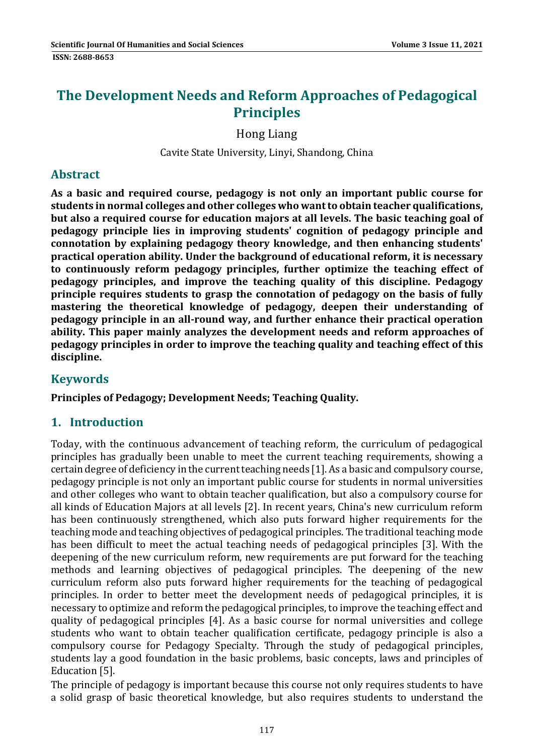# **The Development Needs and Reform Approaches of Pedagogical Principles**

Hong Liang 

Cavite State University, Linyi, Shandong, China

#### **Abstract**

**As a basic and required course, pedagogy is not only an important public course for students in normal colleges and other colleges who wantto obtain teacher qualifications, but also a required course for education majors at all levels. The basic teaching goal of pedagogy principle lies in improving students' cognition of pedagogy principle and connotation by explaining pedagogy theory knowledge, and then enhancing students' practical operation ability. Under the background of educational reform, it is necessary to continuously reform pedagogy principles, further optimize the teaching effect of pedagogy principles, and improve the teaching quality of this discipline. Pedagogy principle requires students to grasp the connotation of pedagogy on the basis of fully mastering the theoretical knowledge of pedagogy, deepen their understanding of pedagogy principle in an all‐round way, and further enhance their practical operation ability. This paper mainly analyzes the development needs and reform approaches of pedagogy principles in order to improve the teaching quality and teaching effect of this discipline.**

#### **Keywords**

**Principles of Pedagogy; Development Needs; Teaching Quality.** 

## **1. Introduction**

Today, with the continuous advancement of teaching reform, the curriculum of pedagogical principles has gradually been unable to meet the current teaching requirements, showing a certain degree of deficiency in the current teaching needs [1]. As a basic and compulsory course, pedagogy principle is not only an important public course for students in normal universities and other colleges who want to obtain teacher qualification, but also a compulsory course for all kinds of Education Majors at all levels [2]. In recent vears, China's new curriculum reform has been continuously strengthened, which also puts forward higher requirements for the teaching mode and teaching objectives of pedagogical principles. The traditional teaching mode has been difficult to meet the actual teaching needs of pedagogical principles [3]. With the deepening of the new curriculum reform, new requirements are put forward for the teaching methods and learning objectives of pedagogical principles. The deepening of the new curriculum reform also puts forward higher requirements for the teaching of pedagogical principles. In order to better meet the development needs of pedagogical principles, it is necessary to optimize and reform the pedagogical principles, to improve the teaching effect and quality of pedagogical principles [4]. As a basic course for normal universities and college students who want to obtain teacher qualification certificate, pedagogy principle is also a compulsory course for Pedagogy Specialty. Through the study of pedagogical principles, students lay a good foundation in the basic problems, basic concepts, laws and principles of Education [5].

The principle of pedagogy is important because this course not only requires students to have a solid grasp of basic theoretical knowledge, but also requires students to understand the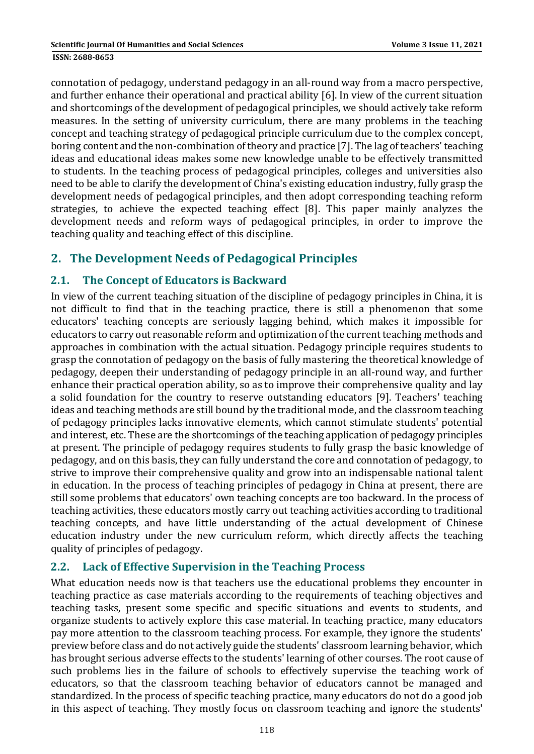connotation of pedagogy, understand pedagogy in an all-round way from a macro perspective, and further enhance their operational and practical ability [6]. In view of the current situation and shortcomings of the development of pedagogical principles, we should actively take reform measures. In the setting of university curriculum, there are many problems in the teaching concept and teaching strategy of pedagogical principle curriculum due to the complex concept, boring content and the non-combination of theory and practice [7]. The lag of teachers' teaching ideas and educational ideas makes some new knowledge unable to be effectively transmitted to students. In the teaching process of pedagogical principles, colleges and universities also need to be able to clarify the development of China's existing education industry, fully grasp the development needs of pedagogical principles, and then adopt corresponding teaching reform strategies, to achieve the expected teaching effect [8]. This paper mainly analyzes the development needs and reform ways of pedagogical principles, in order to improve the teaching quality and teaching effect of this discipline.

## **2. The Development Needs of Pedagogical Principles**

## **2.1. The Concept of Educators is Backward**

In view of the current teaching situation of the discipline of pedagogy principles in China, it is not difficult to find that in the teaching practice, there is still a phenomenon that some educators' teaching concepts are seriously lagging behind, which makes it impossible for educators to carry out reasonable reform and optimization of the current teaching methods and approaches in combination with the actual situation. Pedagogy principle requires students to grasp the connotation of pedagogy on the basis of fully mastering the theoretical knowledge of pedagogy, deepen their understanding of pedagogy principle in an all-round way, and further enhance their practical operation ability, so as to improve their comprehensive quality and lay a solid foundation for the country to reserve outstanding educators [9]. Teachers' teaching ideas and teaching methods are still bound by the traditional mode, and the classroom teaching of pedagogy principles lacks innovative elements, which cannot stimulate students' potential and interest, etc. These are the shortcomings of the teaching application of pedagogy principles at present. The principle of pedagogy requires students to fully grasp the basic knowledge of pedagogy, and on this basis, they can fully understand the core and connotation of pedagogy, to strive to improve their comprehensive quality and grow into an indispensable national talent in education. In the process of teaching principles of pedagogy in China at present, there are still some problems that educators' own teaching concepts are too backward. In the process of teaching activities, these educators mostly carry out teaching activities according to traditional teaching concepts, and have little understanding of the actual development of Chinese education industry under the new curriculum reform, which directly affects the teaching quality of principles of pedagogy.

## **2.2. Lack of Effective Supervision in the Teaching Process**

What education needs now is that teachers use the educational problems they encounter in teaching practice as case materials according to the requirements of teaching objectives and teaching tasks, present some specific and specific situations and events to students, and organize students to actively explore this case material. In teaching practice, many educators pay more attention to the classroom teaching process. For example, they ignore the students' preview before class and do not actively guide the students' classroom learning behavior, which has brought serious adverse effects to the students' learning of other courses. The root cause of such problems lies in the failure of schools to effectively supervise the teaching work of educators, so that the classroom teaching behavior of educators cannot be managed and standardized. In the process of specific teaching practice, many educators do not do a good job in this aspect of teaching. They mostly focus on classroom teaching and ignore the students'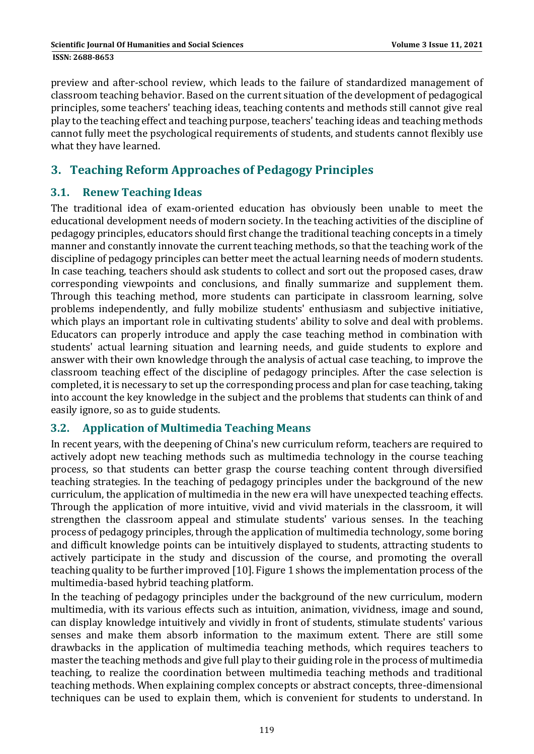preview and after-school review, which leads to the failure of standardized management of classroom teaching behavior. Based on the current situation of the development of pedagogical principles, some teachers' teaching ideas, teaching contents and methods still cannot give real play to the teaching effect and teaching purpose, teachers' teaching ideas and teaching methods cannot fully meet the psychological requirements of students, and students cannot flexibly use what they have learned.

## **3. Teaching Reform Approaches of Pedagogy Principles**

### **3.1. Renew Teaching Ideas**

The traditional idea of exam-oriented education has obviously been unable to meet the educational development needs of modern society. In the teaching activities of the discipline of pedagogy principles, educators should first change the traditional teaching concepts in a timely manner and constantly innovate the current teaching methods, so that the teaching work of the discipline of pedagogy principles can better meet the actual learning needs of modern students. In case teaching, teachers should ask students to collect and sort out the proposed cases, draw corresponding viewpoints and conclusions, and finally summarize and supplement them. Through this teaching method, more students can participate in classroom learning, solve problems independently, and fully mobilize students' enthusiasm and subjective initiative. which plays an important role in cultivating students' ability to solve and deal with problems. Educators can properly introduce and apply the case teaching method in combination with students' actual learning situation and learning needs, and guide students to explore and answer with their own knowledge through the analysis of actual case teaching, to improve the classroom teaching effect of the discipline of pedagogy principles. After the case selection is completed, it is necessary to set up the corresponding process and plan for case teaching, taking into account the key knowledge in the subject and the problems that students can think of and easily ignore, so as to guide students.

#### **3.2. Application of Multimedia Teaching Means**

In recent years, with the deepening of China's new curriculum reform, teachers are required to actively adopt new teaching methods such as multimedia technology in the course teaching process, so that students can better grasp the course teaching content through diversified teaching strategies. In the teaching of pedagogy principles under the background of the new curriculum, the application of multimedia in the new era will have unexpected teaching effects. Through the application of more intuitive, vivid and vivid materials in the classroom, it will strengthen the classroom appeal and stimulate students' various senses. In the teaching process of pedagogy principles, through the application of multimedia technology, some boring and difficult knowledge points can be intuitively displayed to students, attracting students to actively participate in the study and discussion of the course, and promoting the overall teaching quality to be further improved [10]. Figure 1 shows the implementation process of the multimedia-based hybrid teaching platform.

In the teaching of pedagogy principles under the background of the new curriculum, modern multimedia, with its various effects such as intuition, animation, vividness, image and sound, can display knowledge intuitively and vividly in front of students, stimulate students' various senses and make them absorb information to the maximum extent. There are still some drawbacks in the application of multimedia teaching methods, which requires teachers to master the teaching methods and give full play to their guiding role in the process of multimedia teaching, to realize the coordination between multimedia teaching methods and traditional teaching methods. When explaining complex concepts or abstract concepts, three-dimensional techniques can be used to explain them, which is convenient for students to understand. In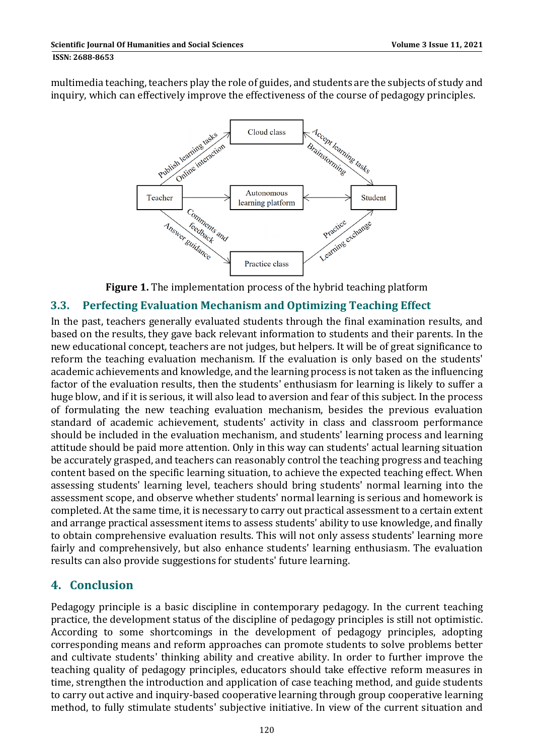#### **ISSN: 2688-8653**

multimedia teaching, teachers play the role of guides, and students are the subjects of study and inquiry, which can effectively improve the effectiveness of the course of pedagogy principles.



**Figure 1.** The implementation process of the hybrid teaching platform

#### **3.3. Perfecting Evaluation Mechanism and Optimizing Teaching Effect**

In the past, teachers generally evaluated students through the final examination results, and based on the results, they gave back relevant information to students and their parents. In the new educational concept, teachers are not judges, but helpers. It will be of great significance to reform the teaching evaluation mechanism. If the evaluation is only based on the students' academic achievements and knowledge, and the learning process is not taken as the influencing factor of the evaluation results, then the students' enthusiasm for learning is likely to suffer a huge blow, and if it is serious, it will also lead to aversion and fear of this subject. In the process of formulating the new teaching evaluation mechanism, besides the previous evaluation standard of academic achievement, students' activity in class and classroom performance should be included in the evaluation mechanism, and students' learning process and learning attitude should be paid more attention. Only in this way can students' actual learning situation be accurately grasped, and teachers can reasonably control the teaching progress and teaching content based on the specific learning situation, to achieve the expected teaching effect. When assessing students' learning level, teachers should bring students' normal learning into the assessment scope, and observe whether students' normal learning is serious and homework is completed. At the same time, it is necessary to carry out practical assessment to a certain extent and arrange practical assessment items to assess students' ability to use knowledge, and finally to obtain comprehensive evaluation results. This will not only assess students' learning more fairly and comprehensively, but also enhance students' learning enthusiasm. The evaluation results can also provide suggestions for students' future learning.

## **4. Conclusion**

Pedagogy principle is a basic discipline in contemporary pedagogy. In the current teaching practice, the development status of the discipline of pedagogy principles is still not optimistic. According to some shortcomings in the development of pedagogy principles, adopting corresponding means and reform approaches can promote students to solve problems better and cultivate students' thinking ability and creative ability. In order to further improve the teaching quality of pedagogy principles, educators should take effective reform measures in time, strengthen the introduction and application of case teaching method, and guide students to carry out active and inquiry-based cooperative learning through group cooperative learning method, to fully stimulate students' subjective initiative. In view of the current situation and